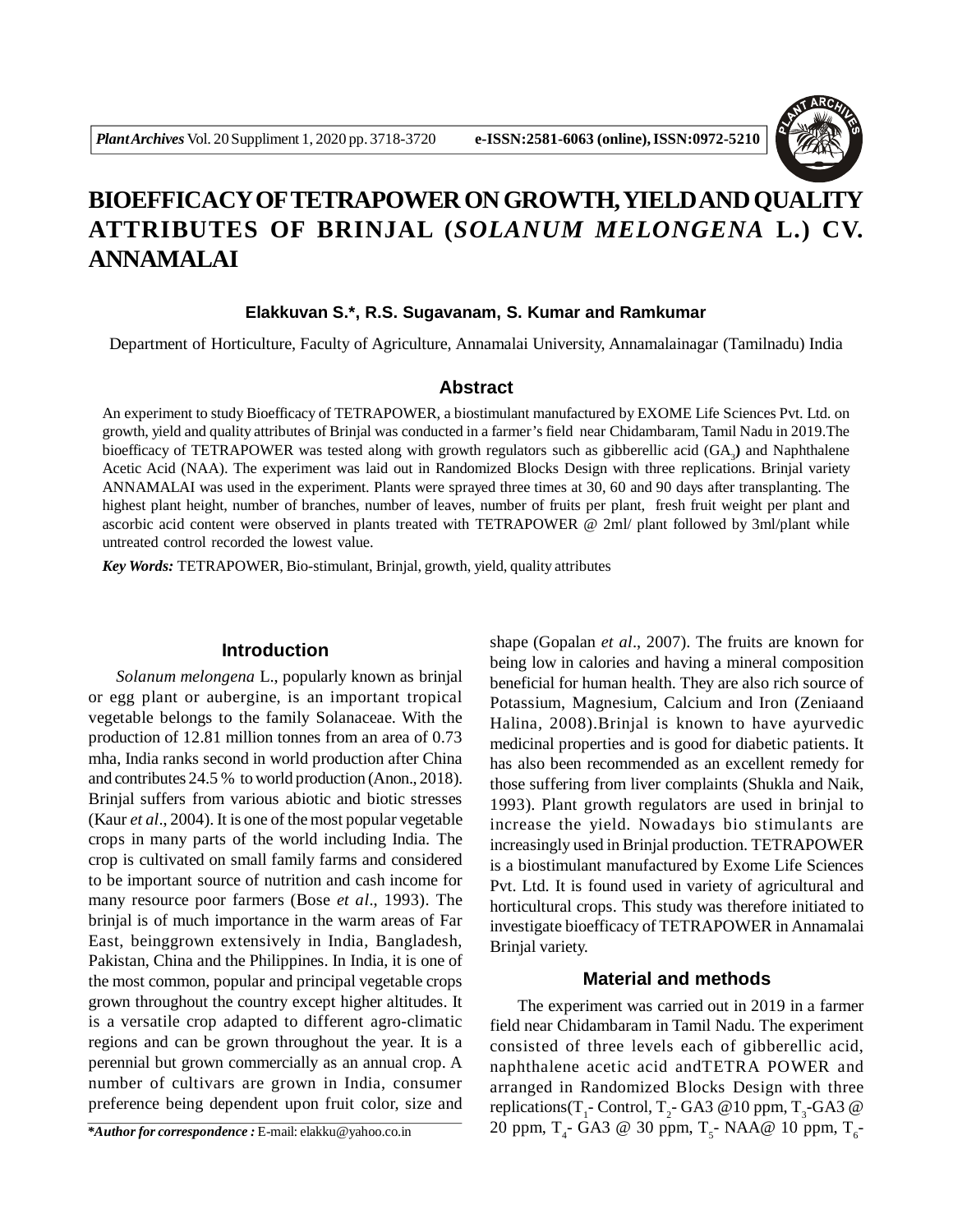

# **BIOEFFICACY OFTETRAPOWER ON GROWTH, YIELD AND QUALITY ATTRIBUTES OF BRINJAL (***SOLANUM MELONGENA* **L.) CV. ANNAMALAI**

## **Elakkuvan S.\*, R.S. Sugavanam, S. Kumar and Ramkumar**

Department of Horticulture, Faculty of Agriculture, Annamalai University, Annamalainagar (Tamilnadu) India

## **Abstract**

An experiment to study Bioefficacy of TETRAPOWER, a biostimulant manufactured by EXOME Life Sciences Pvt. Ltd. on growth, yield and quality attributes of Brinjal was conducted in a farmer's field near Chidambaram, Tamil Nadu in 2019.The bioefficacy of TETRAPOWER was tested along with growth regulators such as gibberellic acid (GA<sub>3</sub>) and Naphthalene Acetic Acid (NAA). The experiment was laid out in Randomized Blocks Design with three replications. Brinjal variety ANNAMALAI was used in the experiment. Plants were sprayed three times at 30, 60 and 90 days after transplanting. The highest plant height, number of branches, number of leaves, number of fruits per plant, fresh fruit weight per plant and ascorbic acid content were observed in plants treated with TETRAPOWER @ 2ml/ plant followed by 3ml/plant while untreated control recorded the lowest value.

*Key Words:* TETRAPOWER, Bio-stimulant, Brinjal, growth, yield, quality attributes

## **Introduction**

*Solanum melongena* L., popularly known as brinjal or egg plant or aubergine, is an important tropical vegetable belongs to the family Solanaceae. With the production of 12.81 million tonnes from an area of 0.73 mha, India ranks second in world production after China and contributes 24.5 % to world production (Anon., 2018). Brinjal suffers from various abiotic and biotic stresses (Kaur *et al*., 2004). It is one of the most popular vegetable crops in many parts of the world including India. The crop is cultivated on small family farms and considered to be important source of nutrition and cash income for many resource poor farmers (Bose *et al*., 1993). The brinjal is of much importance in the warm areas of Far East, beinggrown extensively in India, Bangladesh, Pakistan, China and the Philippines. In India, it is one of the most common, popular and principal vegetable crops grown throughout the country except higher altitudes. It is a versatile crop adapted to different agro-climatic regions and can be grown throughout the year. It is a perennial but grown commercially as an annual crop. A number of cultivars are grown in India, consumer preference being dependent upon fruit color, size and

*\*Author for correspondence :* E-mail: elakku@yahoo.co.in

shape (Gopalan *et al*., 2007). The fruits are known for being low in calories and having a mineral composition beneficial for human health. They are also rich source of Potassium, Magnesium, Calcium and Iron (Zeniaand Halina*,* 2008).Brinjal is known to have ayurvedic medicinal properties and is good for diabetic patients. It has also been recommended as an excellent remedy for those suffering from liver complaints (Shukla and Naik, 1993). Plant growth regulators are used in brinjal to increase the yield. Nowadays bio stimulants are increasingly used in Brinjal production. TETRAPOWER is a biostimulant manufactured by Exome Life Sciences Pvt. Ltd. It is found used in variety of agricultural and horticultural crops. This study was therefore initiated to investigate bioefficacy of TETRAPOWER in Annamalai Brinjal variety.

## **Material and methods**

The experiment was carried out in 2019 in a farmer field near Chidambaram in Tamil Nadu. The experiment consisted of three levels each of gibberellic acid, naphthalene acetic acid andTETRA POWER and arranged in Randomized Blocks Design with three replications(T<sub>1</sub> - Control, T<sub>2</sub> - GA3 @ 10 ppm, T<sub>3</sub> -GA3 @ 20 ppm,  $T_{4}$ - GA3 @ 30 ppm,  $T_{5}$ - NAA@ 10 ppm,  $T_{6}$ -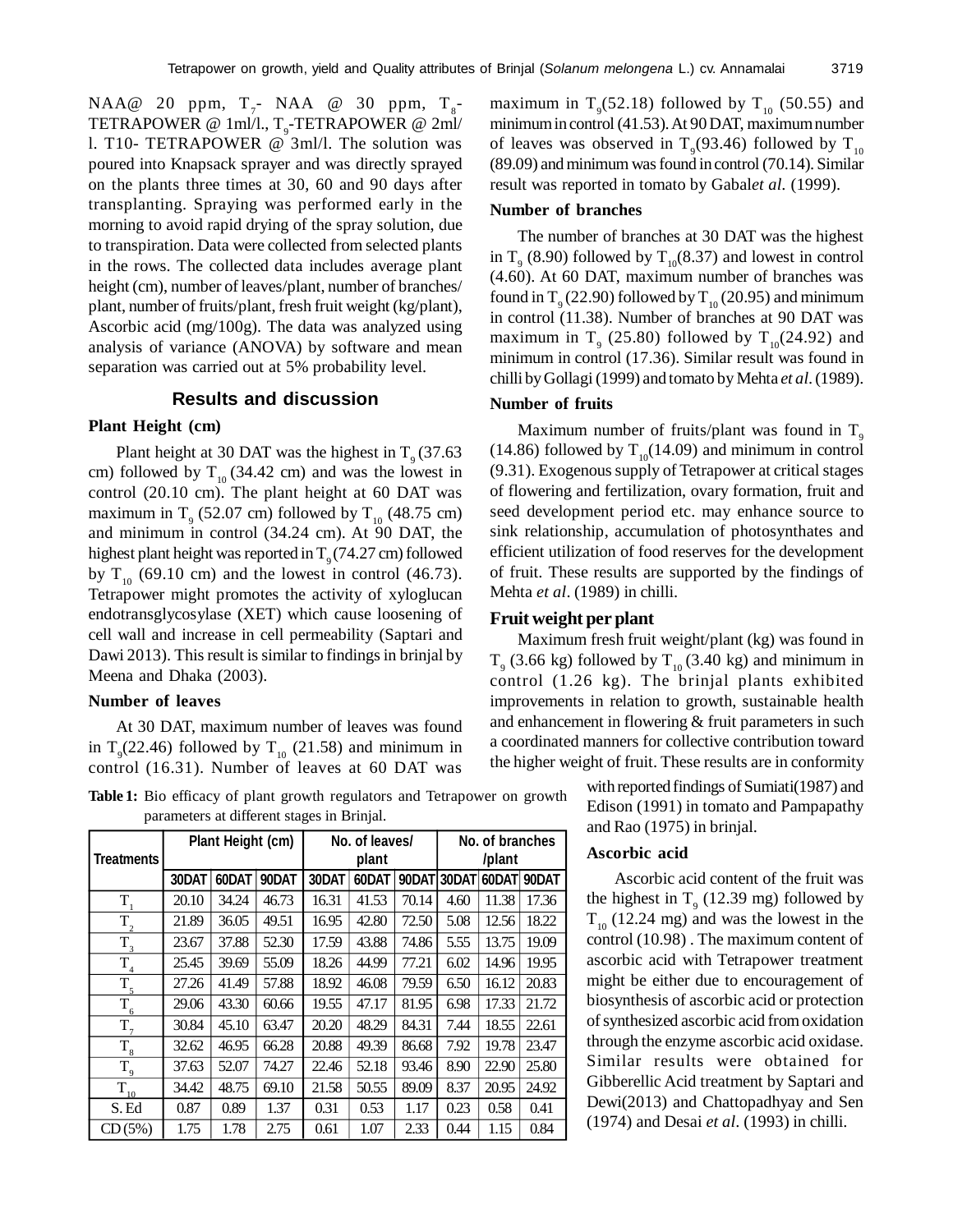$NAA@ 20 ppm, T<sub>7</sub> NAA @ 30 ppm, T<sub>8</sub>$ TETRAPOWER @ 1ml/l., T $_{\circ}$ -TETRAPOWER @ 2ml/ l. T10- TETRAPOWER @ 3ml/l. The solution was poured into Knapsack sprayer and was directly sprayed on the plants three times at 30, 60 and 90 days after transplanting. Spraying was performed early in the morning to avoid rapid drying of the spray solution, due to transpiration. Data were collected from selected plants in the rows. The collected data includes average plant height (cm), number of leaves/plant, number of branches/ plant, number of fruits/plant, fresh fruit weight (kg/plant), Ascorbic acid (mg/100g). The data was analyzed using analysis of variance (ANOVA) by software and mean separation was carried out at 5% probability level.

#### **Results and discussion**

#### **Plant Height (cm)**

Plant height at 30 DAT was the highest in  $T<sub>9</sub> (37.63)$ cm) followed by  $T_{10}$  (34.42 cm) and was the lowest in control (20.10 cm). The plant height at 60 DAT was maximum in  $T<sub>9</sub>$  (52.07 cm) followed by  $T<sub>10</sub>$  (48.75 cm) and minimum in control (34.24 cm). At 90 DAT, the highest plant height was reported in  $T_{9}$  (74.27 cm) followed by  $T_{10}$  (69.10 cm) and the lowest in control (46.73). Tetrapower might promotes the activity of xyloglucan endotransglycosylase (XET) which cause loosening of cell wall and increase in cell permeability (Saptari and Dawi 2013). This result is similar to findings in brinjal by Meena and Dhaka (2003).

## **Number of leaves**

At 30 DAT, maximum number of leaves was found in  $T_{9}(22.46)$  followed by  $T_{10}$  (21.58) and minimum in control (16.31). Number of leaves at 60 DAT was

**Table 1:** Bio efficacy of plant growth regulators and Tetrapower on growth parameters at different stages in Brinjal.

| Treatments        | Plant Height (cm) |       |       | No. of leaves/<br>plant |       |       | No. of branches<br>/plant |       |       |
|-------------------|-------------------|-------|-------|-------------------------|-------|-------|---------------------------|-------|-------|
|                   | 30DAT             | 60DAT | 90DAT | 30DAT                   | 60DAT | 90DAT | 30DAT                     | 60DAT | 90DAT |
| T                 | 20.10             | 34.24 | 46.73 | 16.31                   | 41.53 | 70.14 | 4.60                      | 11.38 | 17.36 |
| $\mathrm{T}_2$    | 21.89             | 36.05 | 49.51 | 16.95                   | 42.80 | 72.50 | 5.08                      | 12.56 | 18.22 |
| $T_{3}$           | 23.67             | 37.88 | 52.30 | 17.59                   | 43.88 | 74.86 | 5.55                      | 13.75 | 19.09 |
| $T_4$             | 25.45             | 39.69 | 55.09 | 18.26                   | 44.99 | 77.21 | 6.02                      | 14.96 | 19.95 |
| $T_{\frac{5}{5}}$ | 27.26             | 41.49 | 57.88 | 18.92                   | 46.08 | 79.59 | 6.50                      | 16.12 | 20.83 |
| $T_{6}$           | 29.06             | 43.30 | 60.66 | 19.55                   | 47.17 | 81.95 | 6.98                      | 17.33 | 21.72 |
| $T_{7}$           | 30.84             | 45.10 | 63.47 | 20.20                   | 48.29 | 84.31 | 7.44                      | 18.55 | 22.61 |
| $T_{\rm 8}$       | 32.62             | 46.95 | 66.28 | 20.88                   | 49.39 | 86.68 | 7.92                      | 19.78 | 23.47 |
| $T_{9}$           | 37.63             | 52.07 | 74.27 | 22.46                   | 52.18 | 93.46 | 8.90                      | 22.90 | 25.80 |
| $\bar{T}_{10}$    | 34.42             | 48.75 | 69.10 | 21.58                   | 50.55 | 89.09 | 8.37                      | 20.95 | 24.92 |
| S. Ed             | 0.87              | 0.89  | 1.37  | 0.31                    | 0.53  | 1.17  | 0.23                      | 0.58  | 0.41  |
| CD(5%)            | 1.75              | 1.78  | 2.75  | 0.61                    | 1.07  | 2.33  | 0.44                      | 1.15  | 0.84  |

maximum in  $T<sub>9</sub>(52.18)$  followed by  $T<sub>10</sub>(50.55)$  and minimum in control (41.53). At 90 DAT, maximum number of leaves was observed in T<sub>9</sub>(93.46) followed by T<sub>10</sub> (89.09) and minimum was found in control (70.14). Similar result was reported in tomato by Gabal*et al.* (1999).

#### **Number of branches**

The number of branches at 30 DAT was the highest in  $T<sub>9</sub>$  (8.90) followed by  $T<sub>10</sub>(8.37)$  and lowest in control (4.60). At 60 DAT, maximum number of branches was found in  $T_{9}$  (22.90) followed by  $T_{10}$  (20.95) and minimum in control (11.38). Number of branches at 90 DAT was maximum in  $T<sub>9</sub>$  (25.80) followed by  $T<sub>10</sub>$ (24.92) and minimum in control (17.36). Similar result was found in chilli by Gollagi (1999) and tomato by Mehta *et al*. (1989).

### **Number of fruits**

Maximum number of fruits/plant was found in  $T_{\text{o}}$ (14.86) followed by  $T_{10}(14.09)$  and minimum in control (9.31). Exogenous supply of Tetrapower at critical stages of flowering and fertilization, ovary formation, fruit and seed development period etc. may enhance source to sink relationship, accumulation of photosynthates and efficient utilization of food reserves for the development of fruit. These results are supported by the findings of Mehta *et al*. (1989) in chilli.

### **Fruit weight per plant**

Maximum fresh fruit weight/plant (kg) was found in  $T<sub>9</sub>$  (3.66 kg) followed by  $T<sub>10</sub>$  (3.40 kg) and minimum in control (1.26 kg). The brinjal plants exhibited improvements in relation to growth, sustainable health and enhancement in flowering & fruit parameters in such a coordinated manners for collective contribution toward the higher weight of fruit. These results are in conformity

> with reported findings of Sumiati(1987) and Edison (1991) in tomato and Pampapathy and Rao (1975) in brinjal.

#### **Ascorbic acid**

Ascorbic acid content of the fruit was the highest in  $T<sub>9</sub>$  (12.39 mg) followed by  $T_{10}$  (12.24 mg) and was the lowest in the control (10.98) . The maximum content of ascorbic acid with Tetrapower treatment might be either due to encouragement of biosynthesis of ascorbic acid or protection of synthesized ascorbic acid from oxidation through the enzyme ascorbic acid oxidase. Similar results were obtained for Gibberellic Acid treatment by Saptari and Dewi(2013) and Chattopadhyay and Sen (1974) and Desai *et al*. (1993) in chilli.